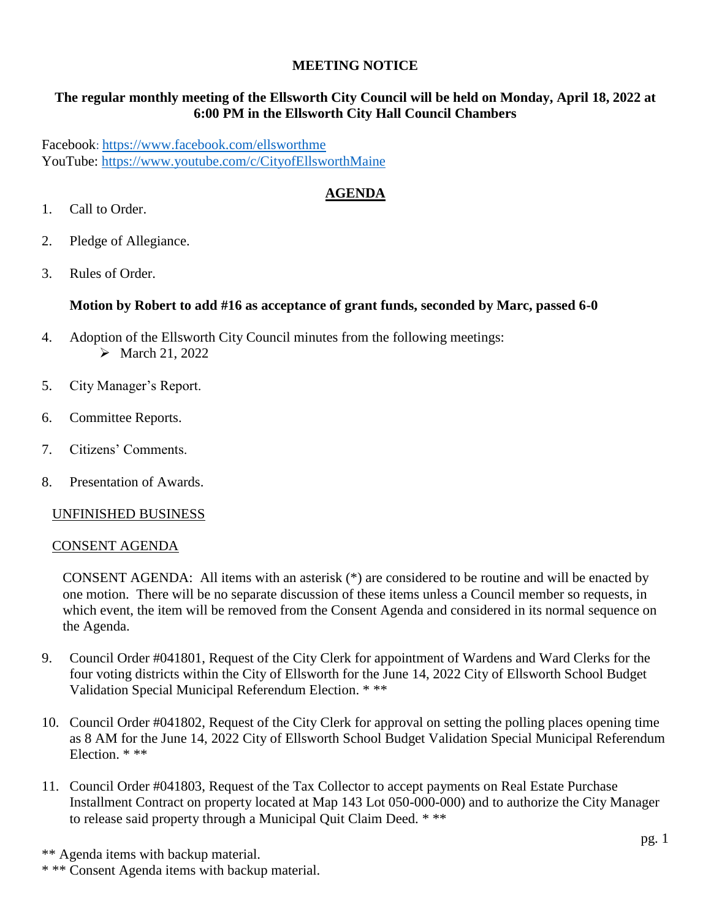## **MEETING NOTICE**

## **The regular monthly meeting of the Ellsworth City Council will be held on Monday, April 18, 2022 at 6:00 PM in the Ellsworth City Hall Council Chambers**

Facebook: <https://www.facebook.com/ellsworthme> YouTube:<https://www.youtube.com/c/CityofEllsworthMaine>

## **AGENDA**

- 1. Call to Order.
- 2. Pledge of Allegiance.
- 3. Rules of Order.

## **Motion by Robert to add #16 as acceptance of grant funds, seconded by Marc, passed 6-0**

- 4. Adoption of the Ellsworth City Council minutes from the following meetings:  $\triangleright$  March 21, 2022
- 5. City Manager's Report.
- 6. Committee Reports.
- 7. Citizens' Comments.
- 8. Presentation of Awards.

#### UNFINISHED BUSINESS

#### CONSENT AGENDA

CONSENT AGENDA: All items with an asterisk (\*) are considered to be routine and will be enacted by one motion. There will be no separate discussion of these items unless a Council member so requests, in which event, the item will be removed from the Consent Agenda and considered in its normal sequence on the Agenda.

- 9. Council Order #041801, Request of the City Clerk for appointment of Wardens and Ward Clerks for the four voting districts within the City of Ellsworth for the June 14, 2022 City of Ellsworth School Budget Validation Special Municipal Referendum Election. \* \*\*
- 10. Council Order #041802, Request of the City Clerk for approval on setting the polling places opening time as 8 AM for the June 14, 2022 City of Ellsworth School Budget Validation Special Municipal Referendum Election. \* \*\*
- 11. Council Order #041803, Request of the Tax Collector to accept payments on Real Estate Purchase Installment Contract on property located at Map 143 Lot 050-000-000) and to authorize the City Manager to release said property through a Municipal Quit Claim Deed. \* \*\*

\*\* Agenda items with backup material.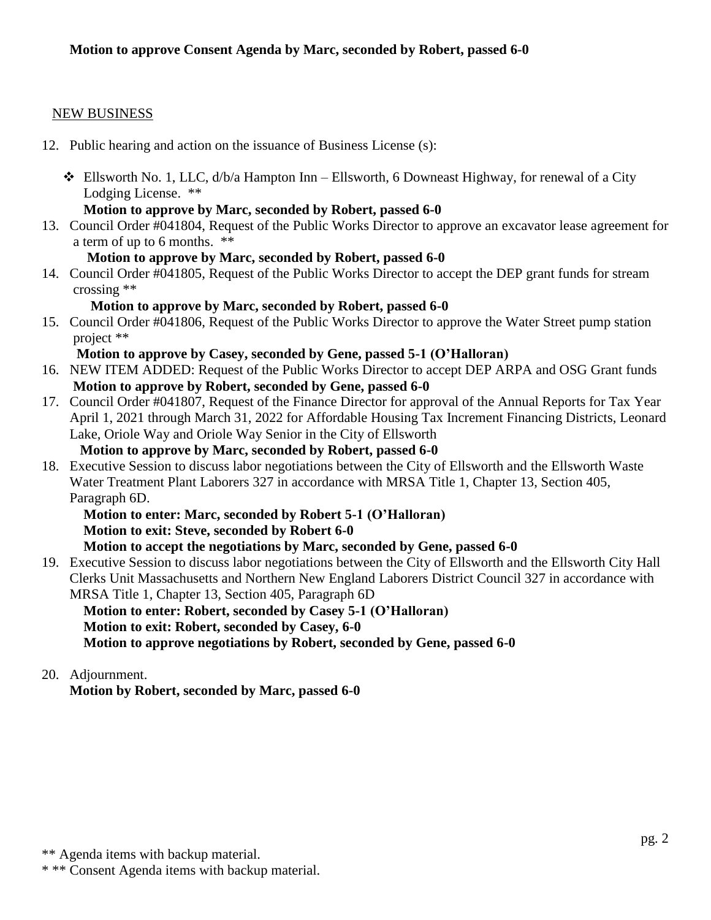## NEW BUSINESS

- 12. Public hearing and action on the issuance of Business License (s):
	- $\triangleleft$  Ellsworth No. 1, LLC,  $d/b/a$  Hampton Inn Ellsworth, 6 Downeast Highway, for renewal of a City Lodging License. \*\*

## **Motion to approve by Marc, seconded by Robert, passed 6-0**

- 13. Council Order #041804, Request of the Public Works Director to approve an excavator lease agreement for a term of up to 6 months. \*\*
	- **Motion to approve by Marc, seconded by Robert, passed 6-0**
- 14. Council Order #041805, Request of the Public Works Director to accept the DEP grant funds for stream crossing \*\*

## **Motion to approve by Marc, seconded by Robert, passed 6-0**

15. Council Order #041806, Request of the Public Works Director to approve the Water Street pump station project \*\*

## **Motion to approve by Casey, seconded by Gene, passed 5-1 (O'Halloran)**

- 16. NEW ITEM ADDED: Request of the Public Works Director to accept DEP ARPA and OSG Grant funds **Motion to approve by Robert, seconded by Gene, passed 6-0**
- 17. Council Order #041807, Request of the Finance Director for approval of the Annual Reports for Tax Year April 1, 2021 through March 31, 2022 for Affordable Housing Tax Increment Financing Districts, Leonard Lake, Oriole Way and Oriole Way Senior in the City of Ellsworth

## **Motion to approve by Marc, seconded by Robert, passed 6-0**

18. Executive Session to discuss labor negotiations between the City of Ellsworth and the Ellsworth Waste Water Treatment Plant Laborers 327 in accordance with MRSA Title 1, Chapter 13, Section 405, Paragraph 6D.

**Motion to enter: Marc, seconded by Robert 5-1 (O'Halloran) Motion to exit: Steve, seconded by Robert 6-0**

**Motion to accept the negotiations by Marc, seconded by Gene, passed 6-0**

19. Executive Session to discuss labor negotiations between the City of Ellsworth and the Ellsworth City Hall Clerks Unit Massachusetts and Northern New England Laborers District Council 327 in accordance with MRSA Title 1, Chapter 13, Section 405, Paragraph 6D

 **Motion to enter: Robert, seconded by Casey 5-1 (O'Halloran) Motion to exit: Robert, seconded by Casey, 6-0 Motion to approve negotiations by Robert, seconded by Gene, passed 6-0**

## 20. Adjournment.

**Motion by Robert, seconded by Marc, passed 6-0**

<sup>\*\*</sup> Agenda items with backup material.

<sup>\* \*\*</sup> Consent Agenda items with backup material.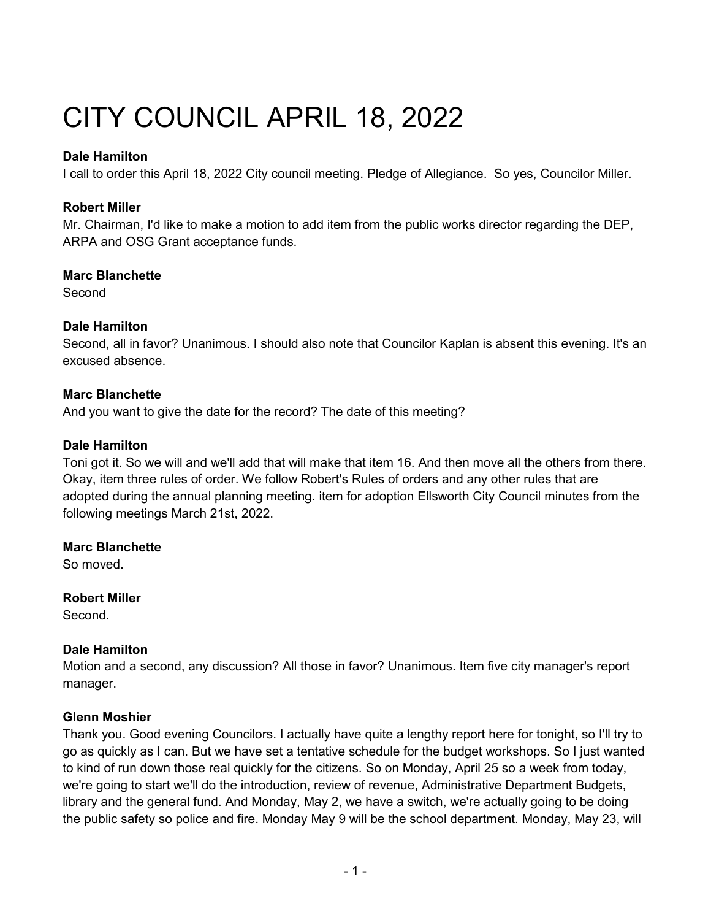# CITY COUNCIL APRIL 18, 2022

## **Dale Hamilton**

I call to order this April 18, 2022 City council meeting. Pledge of Allegiance. So yes, Councilor Miller.

## **Robert Miller**

Mr. Chairman, I'd like to make a motion to add item from the public works director regarding the DEP, ARPA and OSG Grant acceptance funds.

## **Marc Blanchette**

**Second** 

## **Dale Hamilton**

Second, all in favor? Unanimous. I should also note that Councilor Kaplan is absent this evening. It's an excused absence.

## **Marc Blanchette**

And you want to give the date for the record? The date of this meeting?

## **Dale Hamilton**

Toni got it. So we will and we'll add that will make that item 16. And then move all the others from there. Okay, item three rules of order. We follow Robert's Rules of orders and any other rules that are adopted during the annual planning meeting. item for adoption Ellsworth City Council minutes from the following meetings March 21st, 2022.

## **Marc Blanchette**

So moved.

**Robert Miller** 

Second.

## **Dale Hamilton**

Motion and a second, any discussion? All those in favor? Unanimous. Item five city manager's report manager.

## **Glenn Moshier**

Thank you. Good evening Councilors. I actually have quite a lengthy report here for tonight, so I'll try to go as quickly as I can. But we have set a tentative schedule for the budget workshops. So I just wanted to kind of run down those real quickly for the citizens. So on Monday, April 25 so a week from today, we're going to start we'll do the introduction, review of revenue, Administrative Department Budgets, library and the general fund. And Monday, May 2, we have a switch, we're actually going to be doing the public safety so police and fire. Monday May 9 will be the school department. Monday, May 23, will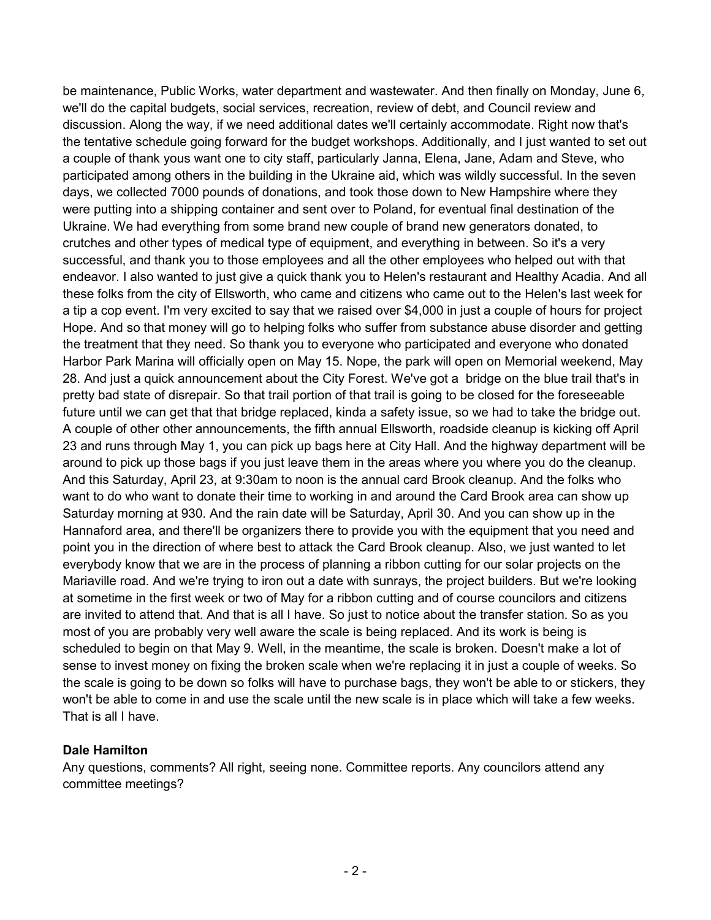be maintenance, Public Works, water department and wastewater. And then finally on Monday, June 6, we'll do the capital budgets, social services, recreation, review of debt, and Council review and discussion. Along the way, if we need additional dates we'll certainly accommodate. Right now that's the tentative schedule going forward for the budget workshops. Additionally, and I just wanted to set out a couple of thank yous want one to city staff, particularly Janna, Elena, Jane, Adam and Steve, who participated among others in the building in the Ukraine aid, which was wildly successful. In the seven days, we collected 7000 pounds of donations, and took those down to New Hampshire where they were putting into a shipping container and sent over to Poland, for eventual final destination of the Ukraine. We had everything from some brand new couple of brand new generators donated, to crutches and other types of medical type of equipment, and everything in between. So it's a very successful, and thank you to those employees and all the other employees who helped out with that endeavor. I also wanted to just give a quick thank you to Helen's restaurant and Healthy Acadia. And all these folks from the city of Ellsworth, who came and citizens who came out to the Helen's last week for a tip a cop event. I'm very excited to say that we raised over \$4,000 in just a couple of hours for project Hope. And so that money will go to helping folks who suffer from substance abuse disorder and getting the treatment that they need. So thank you to everyone who participated and everyone who donated Harbor Park Marina will officially open on May 15. Nope, the park will open on Memorial weekend, May 28. And just a quick announcement about the City Forest. We've got a bridge on the blue trail that's in pretty bad state of disrepair. So that trail portion of that trail is going to be closed for the foreseeable future until we can get that that bridge replaced, kinda a safety issue, so we had to take the bridge out. A couple of other other announcements, the fifth annual Ellsworth, roadside cleanup is kicking off April 23 and runs through May 1, you can pick up bags here at City Hall. And the highway department will be around to pick up those bags if you just leave them in the areas where you where you do the cleanup. And this Saturday, April 23, at 9:30am to noon is the annual card Brook cleanup. And the folks who want to do who want to donate their time to working in and around the Card Brook area can show up Saturday morning at 930. And the rain date will be Saturday, April 30. And you can show up in the Hannaford area, and there'll be organizers there to provide you with the equipment that you need and point you in the direction of where best to attack the Card Brook cleanup. Also, we just wanted to let everybody know that we are in the process of planning a ribbon cutting for our solar projects on the Mariaville road. And we're trying to iron out a date with sunrays, the project builders. But we're looking at sometime in the first week or two of May for a ribbon cutting and of course councilors and citizens are invited to attend that. And that is all I have. So just to notice about the transfer station. So as you most of you are probably very well aware the scale is being replaced. And its work is being is scheduled to begin on that May 9. Well, in the meantime, the scale is broken. Doesn't make a lot of sense to invest money on fixing the broken scale when we're replacing it in just a couple of weeks. So the scale is going to be down so folks will have to purchase bags, they won't be able to or stickers, they won't be able to come in and use the scale until the new scale is in place which will take a few weeks. That is all I have.

## **Dale Hamilton**

Any questions, comments? All right, seeing none. Committee reports. Any councilors attend any committee meetings?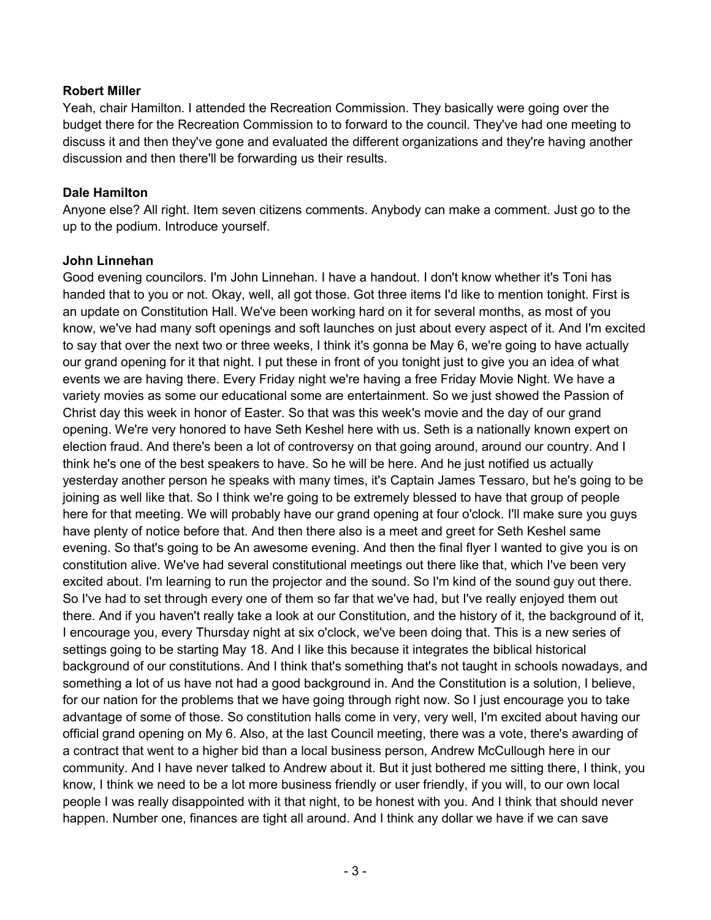## **Robert Miller**

Yeah, chair Hamilton. I attended the Recreation Commission. They basically were going over the budget there for the Recreation Commission to to forward to the council. They've had one meeting to discuss it and then they've gone and evaluated the different organizations and they're having another discussion and then there'll be forwarding us their results.

## **Dale Hamilton**

Anyone else? All right. Item seven citizens comments. Anybody can make a comment. Just go to the up to the podium. Introduce yourself.

## **John Linnehan**

Good evening councilors. I'm John Linnehan. I have a handout. I don't know whether it's Toni has handed that to you or not. Okay, well, all got those. Got three items I'd like to mention tonight. First is an update on Constitution Hall. We've been working hard on it for several months, as most of you know, we've had many soft openings and soft launches on just about every aspect of it. And I'm excited to say that over the next two or three weeks, I think it's gonna be May 6, we're going to have actually our grand opening for it that night. I put these in front of you tonight just to give you an idea of what events we are having there. Every Friday night we're having a free Friday Movie Night. We have a variety movies as some our educational some are entertainment. So we just showed the Passion of Christ day this week in honor of Easter. So that was this week's movie and the day of our grand opening. We're very honored to have Seth Keshel here with us. Seth is a nationally known expert on election fraud. And there's been a lot of controversy on that going around, around our country. And I think he's one of the best speakers to have. So he will be here. And he just notified us actually yesterday another person he speaks with many times, it's Captain James Tessaro, but he's going to be joining as well like that. So I think we're going to be extremely blessed to have that group of people here for that meeting. We will probably have our grand opening at four o'clock. I'll make sure you guys have plenty of notice before that. And then there also is a meet and greet for Seth Keshel same evening. So that's going to be An awesome evening. And then the final flyer I wanted to give you is on constitution alive. We've had several constitutional meetings out there like that, which I've been very excited about. I'm learning to run the projector and the sound. So I'm kind of the sound guy out there. So I've had to set through every one of them so far that we've had, but I've really enjoyed them out there. And if you haven't really take a look at our Constitution, and the history of it, the background of it, I encourage you, every Thursday night at six o'clock, we've been doing that. This is a new series of settings going to be starting May 18. And I like this because it integrates the biblical historical background of our constitutions. And I think that's something that's not taught in schools nowadays, and something a lot of us have not had a good background in. And the Constitution is a solution, I believe, for our nation for the problems that we have going through right now. So I just encourage you to take advantage of some of those. So constitution halls come in very, very well, I'm excited about having our official grand opening on My 6. Also, at the last Council meeting, there was a vote, there's awarding of a contract that went to a higher bid than a local business person, Andrew McCullough here in our community. And I have never talked to Andrew about it. But it just bothered me sitting there, I think, you know, I think we need to be a lot more business friendly or user friendly, if you will, to our own local people I was really disappointed with it that night, to be honest with you. And I think that should never happen. Number one, finances are tight all around. And I think any dollar we have if we can save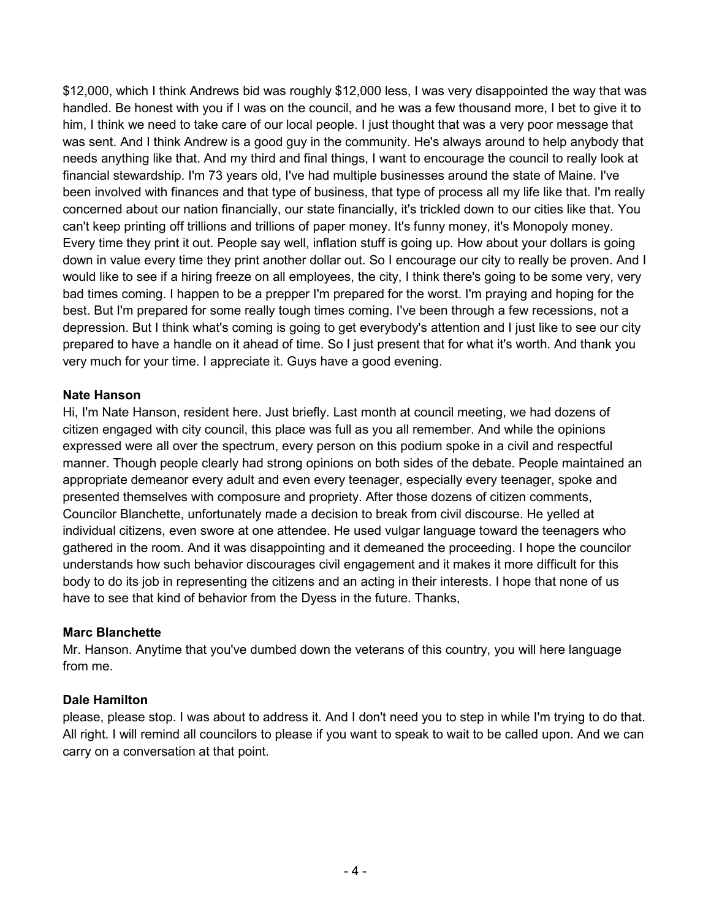\$12,000, which I think Andrews bid was roughly \$12,000 less, I was very disappointed the way that was handled. Be honest with you if I was on the council, and he was a few thousand more, I bet to give it to him, I think we need to take care of our local people. I just thought that was a very poor message that was sent. And I think Andrew is a good guy in the community. He's always around to help anybody that needs anything like that. And my third and final things, I want to encourage the council to really look at financial stewardship. I'm 73 years old, I've had multiple businesses around the state of Maine. I've been involved with finances and that type of business, that type of process all my life like that. I'm really concerned about our nation financially, our state financially, it's trickled down to our cities like that. You can't keep printing off trillions and trillions of paper money. It's funny money, it's Monopoly money. Every time they print it out. People say well, inflation stuff is going up. How about your dollars is going down in value every time they print another dollar out. So I encourage our city to really be proven. And I would like to see if a hiring freeze on all employees, the city, I think there's going to be some very, very bad times coming. I happen to be a prepper I'm prepared for the worst. I'm praying and hoping for the best. But I'm prepared for some really tough times coming. I've been through a few recessions, not a depression. But I think what's coming is going to get everybody's attention and I just like to see our city prepared to have a handle on it ahead of time. So I just present that for what it's worth. And thank you very much for your time. I appreciate it. Guys have a good evening.

#### **Nate Hanson**

Hi, I'm Nate Hanson, resident here. Just briefly. Last month at council meeting, we had dozens of citizen engaged with city council, this place was full as you all remember. And while the opinions expressed were all over the spectrum, every person on this podium spoke in a civil and respectful manner. Though people clearly had strong opinions on both sides of the debate. People maintained an appropriate demeanor every adult and even every teenager, especially every teenager, spoke and presented themselves with composure and propriety. After those dozens of citizen comments, Councilor Blanchette, unfortunately made a decision to break from civil discourse. He yelled at individual citizens, even swore at one attendee. He used vulgar language toward the teenagers who gathered in the room. And it was disappointing and it demeaned the proceeding. I hope the councilor understands how such behavior discourages civil engagement and it makes it more difficult for this body to do its job in representing the citizens and an acting in their interests. I hope that none of us have to see that kind of behavior from the Dyess in the future. Thanks,

## **Marc Blanchette**

Mr. Hanson. Anytime that you've dumbed down the veterans of this country, you will here language from me.

## **Dale Hamilton**

please, please stop. I was about to address it. And I don't need you to step in while I'm trying to do that. All right. I will remind all councilors to please if you want to speak to wait to be called upon. And we can carry on a conversation at that point.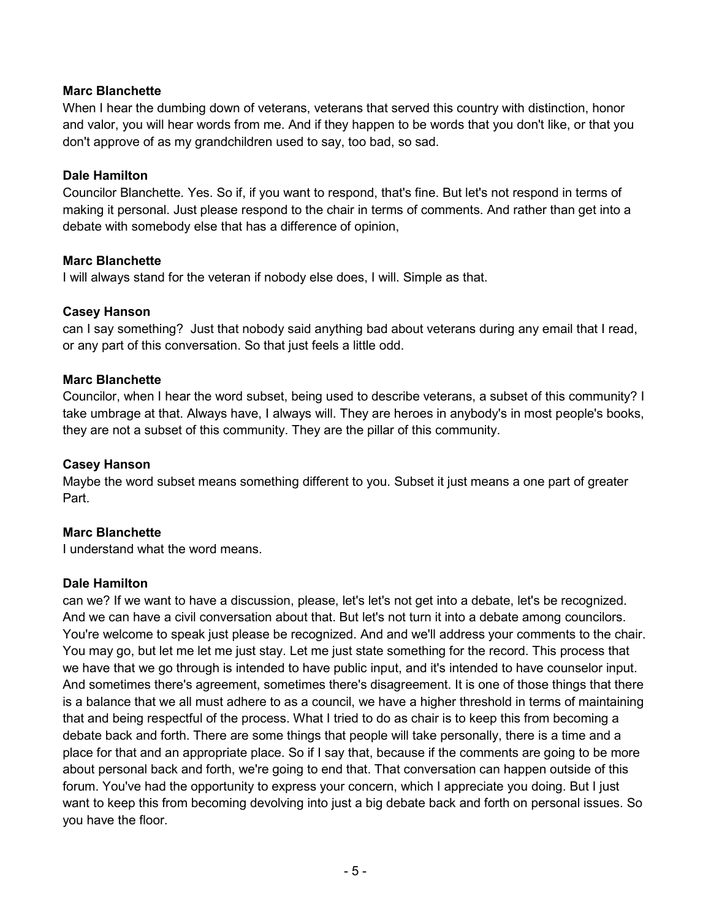## **Marc Blanchette**

When I hear the dumbing down of veterans, veterans that served this country with distinction, honor and valor, you will hear words from me. And if they happen to be words that you don't like, or that you don't approve of as my grandchildren used to say, too bad, so sad.

## **Dale Hamilton**

Councilor Blanchette. Yes. So if, if you want to respond, that's fine. But let's not respond in terms of making it personal. Just please respond to the chair in terms of comments. And rather than get into a debate with somebody else that has a difference of opinion,

#### **Marc Blanchette**

I will always stand for the veteran if nobody else does, I will. Simple as that.

## **Casey Hanson**

can I say something? Just that nobody said anything bad about veterans during any email that I read, or any part of this conversation. So that just feels a little odd.

#### **Marc Blanchette**

Councilor, when I hear the word subset, being used to describe veterans, a subset of this community? I take umbrage at that. Always have, I always will. They are heroes in anybody's in most people's books, they are not a subset of this community. They are the pillar of this community.

## **Casey Hanson**

Maybe the word subset means something different to you. Subset it just means a one part of greater Part.

## **Marc Blanchette**

I understand what the word means.

#### **Dale Hamilton**

can we? If we want to have a discussion, please, let's let's not get into a debate, let's be recognized. And we can have a civil conversation about that. But let's not turn it into a debate among councilors. You're welcome to speak just please be recognized. And and we'll address your comments to the chair. You may go, but let me let me just stay. Let me just state something for the record. This process that we have that we go through is intended to have public input, and it's intended to have counselor input. And sometimes there's agreement, sometimes there's disagreement. It is one of those things that there is a balance that we all must adhere to as a council, we have a higher threshold in terms of maintaining that and being respectful of the process. What I tried to do as chair is to keep this from becoming a debate back and forth. There are some things that people will take personally, there is a time and a place for that and an appropriate place. So if I say that, because if the comments are going to be more about personal back and forth, we're going to end that. That conversation can happen outside of this forum. You've had the opportunity to express your concern, which I appreciate you doing. But I just want to keep this from becoming devolving into just a big debate back and forth on personal issues. So you have the floor.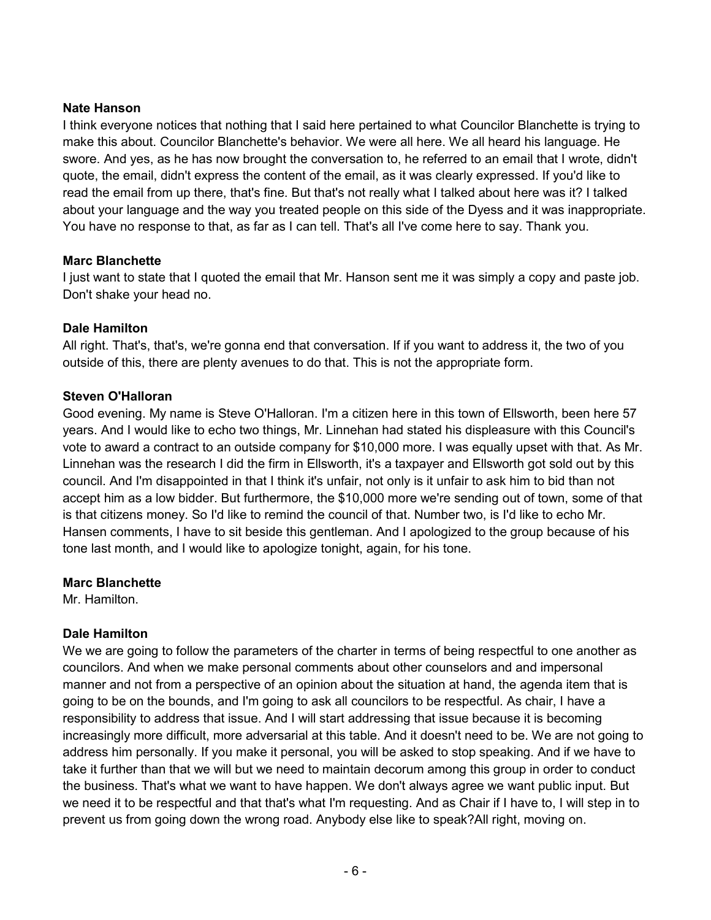## **Nate Hanson**

I think everyone notices that nothing that I said here pertained to what Councilor Blanchette is trying to make this about. Councilor Blanchette's behavior. We were all here. We all heard his language. He swore. And yes, as he has now brought the conversation to, he referred to an email that I wrote, didn't quote, the email, didn't express the content of the email, as it was clearly expressed. If you'd like to read the email from up there, that's fine. But that's not really what I talked about here was it? I talked about your language and the way you treated people on this side of the Dyess and it was inappropriate. You have no response to that, as far as I can tell. That's all I've come here to say. Thank you.

## **Marc Blanchette**

I just want to state that I quoted the email that Mr. Hanson sent me it was simply a copy and paste job. Don't shake your head no.

## **Dale Hamilton**

All right. That's, that's, we're gonna end that conversation. If if you want to address it, the two of you outside of this, there are plenty avenues to do that. This is not the appropriate form.

## **Steven O'Halloran**

Good evening. My name is Steve O'Halloran. I'm a citizen here in this town of Ellsworth, been here 57 years. And I would like to echo two things, Mr. Linnehan had stated his displeasure with this Council's vote to award a contract to an outside company for \$10,000 more. I was equally upset with that. As Mr. Linnehan was the research I did the firm in Ellsworth, it's a taxpayer and Ellsworth got sold out by this council. And I'm disappointed in that I think it's unfair, not only is it unfair to ask him to bid than not accept him as a low bidder. But furthermore, the \$10,000 more we're sending out of town, some of that is that citizens money. So I'd like to remind the council of that. Number two, is I'd like to echo Mr. Hansen comments, I have to sit beside this gentleman. And I apologized to the group because of his tone last month, and I would like to apologize tonight, again, for his tone.

#### **Marc Blanchette**

Mr. Hamilton.

## **Dale Hamilton**

We we are going to follow the parameters of the charter in terms of being respectful to one another as councilors. And when we make personal comments about other counselors and and impersonal manner and not from a perspective of an opinion about the situation at hand, the agenda item that is going to be on the bounds, and I'm going to ask all councilors to be respectful. As chair, I have a responsibility to address that issue. And I will start addressing that issue because it is becoming increasingly more difficult, more adversarial at this table. And it doesn't need to be. We are not going to address him personally. If you make it personal, you will be asked to stop speaking. And if we have to take it further than that we will but we need to maintain decorum among this group in order to conduct the business. That's what we want to have happen. We don't always agree we want public input. But we need it to be respectful and that that's what I'm requesting. And as Chair if I have to, I will step in to prevent us from going down the wrong road. Anybody else like to speak?All right, moving on.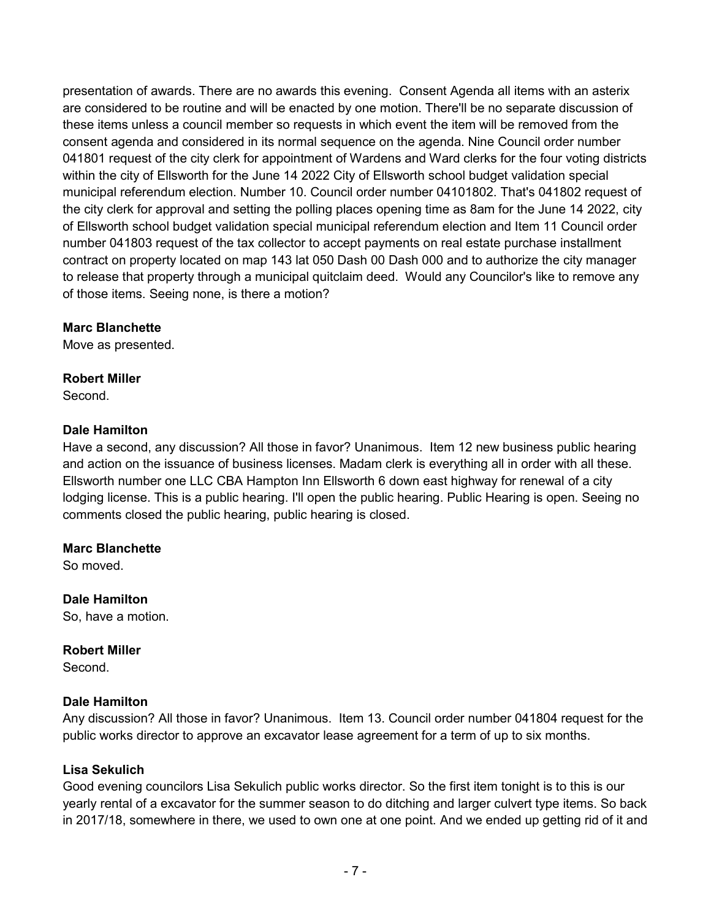presentation of awards. There are no awards this evening. Consent Agenda all items with an asterix are considered to be routine and will be enacted by one motion. There'll be no separate discussion of these items unless a council member so requests in which event the item will be removed from the consent agenda and considered in its normal sequence on the agenda. Nine Council order number 041801 request of the city clerk for appointment of Wardens and Ward clerks for the four voting districts within the city of Ellsworth for the June 14 2022 City of Ellsworth school budget validation special municipal referendum election. Number 10. Council order number 04101802. That's 041802 request of the city clerk for approval and setting the polling places opening time as 8am for the June 14 2022, city of Ellsworth school budget validation special municipal referendum election and Item 11 Council order number 041803 request of the tax collector to accept payments on real estate purchase installment contract on property located on map 143 lat 050 Dash 00 Dash 000 and to authorize the city manager to release that property through a municipal quitclaim deed. Would any Councilor's like to remove any of those items. Seeing none, is there a motion?

## **Marc Blanchette**

Move as presented.

## **Robert Miller**

Second.

## **Dale Hamilton**

Have a second, any discussion? All those in favor? Unanimous. Item 12 new business public hearing and action on the issuance of business licenses. Madam clerk is everything all in order with all these. Ellsworth number one LLC CBA Hampton Inn Ellsworth 6 down east highway for renewal of a city lodging license. This is a public hearing. I'll open the public hearing. Public Hearing is open. Seeing no comments closed the public hearing, public hearing is closed.

## **Marc Blanchette**

So moved.

**Dale Hamilton**  So, have a motion.

**Robert Miller**  Second.

## **Dale Hamilton**

Any discussion? All those in favor? Unanimous. Item 13. Council order number 041804 request for the public works director to approve an excavator lease agreement for a term of up to six months.

## **Lisa Sekulich**

Good evening councilors Lisa Sekulich public works director. So the first item tonight is to this is our yearly rental of a excavator for the summer season to do ditching and larger culvert type items. So back in 2017/18, somewhere in there, we used to own one at one point. And we ended up getting rid of it and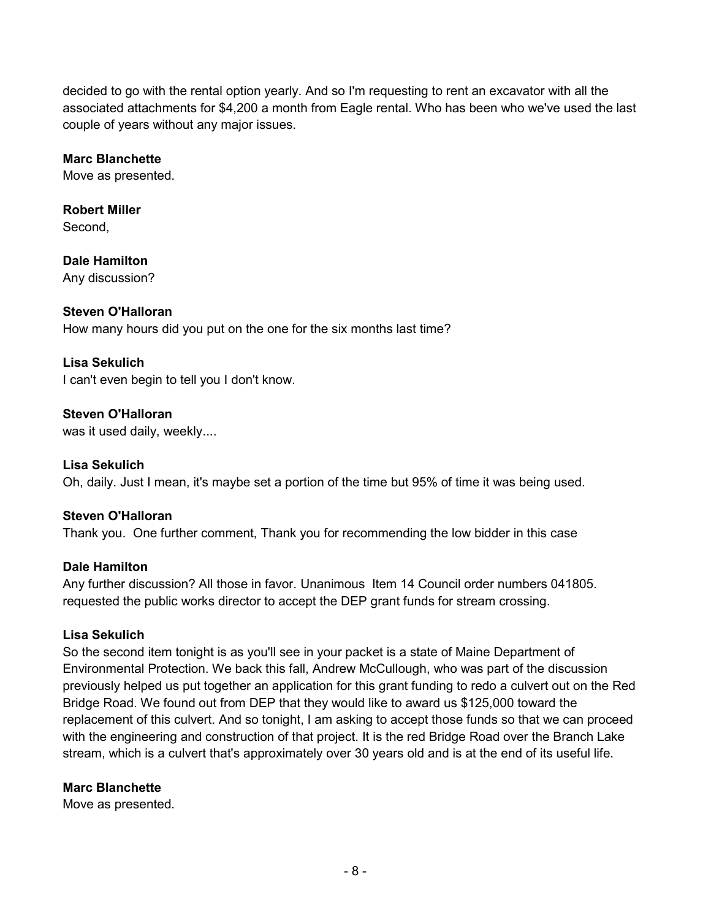decided to go with the rental option yearly. And so I'm requesting to rent an excavator with all the associated attachments for \$4,200 a month from Eagle rental. Who has been who we've used the last couple of years without any major issues.

## **Marc Blanchette**

Move as presented.

**Robert Miller Second** 

**Dale Hamilton**  Any discussion?

## **Steven O'Halloran**

How many hours did you put on the one for the six months last time?

#### **Lisa Sekulich**

I can't even begin to tell you I don't know.

**Steven O'Halloran**  was it used daily, weekly....

**Lisa Sekulich**  Oh, daily. Just I mean, it's maybe set a portion of the time but 95% of time it was being used.

## **Steven O'Halloran**

Thank you. One further comment, Thank you for recommending the low bidder in this case

#### **Dale Hamilton**

Any further discussion? All those in favor. Unanimous Item 14 Council order numbers 041805. requested the public works director to accept the DEP grant funds for stream crossing.

## **Lisa Sekulich**

So the second item tonight is as you'll see in your packet is a state of Maine Department of Environmental Protection. We back this fall, Andrew McCullough, who was part of the discussion previously helped us put together an application for this grant funding to redo a culvert out on the Red Bridge Road. We found out from DEP that they would like to award us \$125,000 toward the replacement of this culvert. And so tonight, I am asking to accept those funds so that we can proceed with the engineering and construction of that project. It is the red Bridge Road over the Branch Lake stream, which is a culvert that's approximately over 30 years old and is at the end of its useful life.

#### **Marc Blanchette**

Move as presented.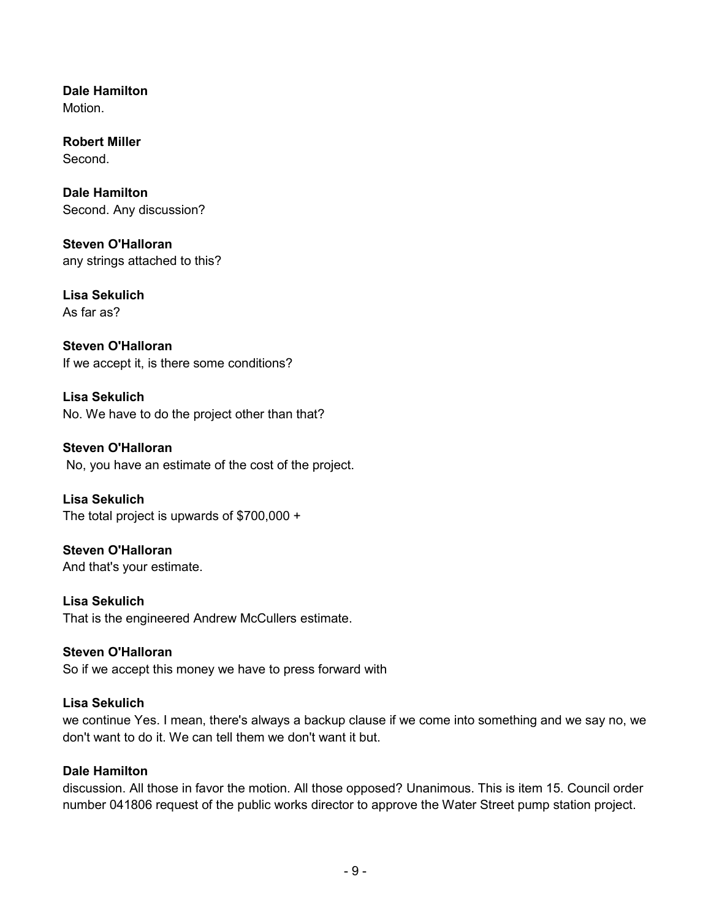**Dale Hamilton**  Motion.

**Robert Miller**  Second.

**Dale Hamilton**  Second. Any discussion?

**Steven O'Halloran**  any strings attached to this?

**Lisa Sekulich**  As far as?

**Steven O'Halloran**  If we accept it, is there some conditions?

**Lisa Sekulich**  No. We have to do the project other than that?

**Steven O'Halloran**  No, you have an estimate of the cost of the project.

**Lisa Sekulich**  The total project is upwards of \$700,000 +

**Steven O'Halloran**  And that's your estimate.

**Lisa Sekulich**  That is the engineered Andrew McCullers estimate.

**Steven O'Halloran**  So if we accept this money we have to press forward with

## **Lisa Sekulich**

we continue Yes. I mean, there's always a backup clause if we come into something and we say no, we don't want to do it. We can tell them we don't want it but.

## **Dale Hamilton**

discussion. All those in favor the motion. All those opposed? Unanimous. This is item 15. Council order number 041806 request of the public works director to approve the Water Street pump station project.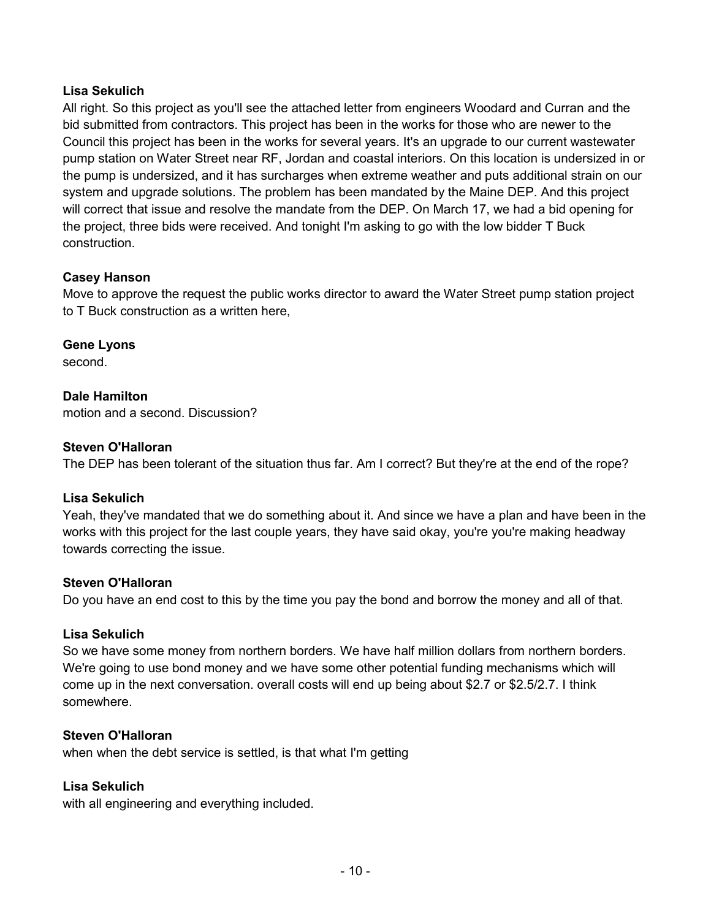## **Lisa Sekulich**

All right. So this project as you'll see the attached letter from engineers Woodard and Curran and the bid submitted from contractors. This project has been in the works for those who are newer to the Council this project has been in the works for several years. It's an upgrade to our current wastewater pump station on Water Street near RF, Jordan and coastal interiors. On this location is undersized in or the pump is undersized, and it has surcharges when extreme weather and puts additional strain on our system and upgrade solutions. The problem has been mandated by the Maine DEP. And this project will correct that issue and resolve the mandate from the DEP. On March 17, we had a bid opening for the project, three bids were received. And tonight I'm asking to go with the low bidder T Buck construction.

## **Casey Hanson**

Move to approve the request the public works director to award the Water Street pump station project to T Buck construction as a written here,

**Gene Lyons** 

second.

## **Dale Hamilton**

motion and a second. Discussion?

#### **Steven O'Halloran**

The DEP has been tolerant of the situation thus far. Am I correct? But they're at the end of the rope?

#### **Lisa Sekulich**

Yeah, they've mandated that we do something about it. And since we have a plan and have been in the works with this project for the last couple years, they have said okay, you're you're making headway towards correcting the issue.

#### **Steven O'Halloran**

Do you have an end cost to this by the time you pay the bond and borrow the money and all of that.

#### **Lisa Sekulich**

So we have some money from northern borders. We have half million dollars from northern borders. We're going to use bond money and we have some other potential funding mechanisms which will come up in the next conversation. overall costs will end up being about \$2.7 or \$2.5/2.7. I think somewhere.

#### **Steven O'Halloran**

when when the debt service is settled, is that what I'm getting

## **Lisa Sekulich**

with all engineering and everything included.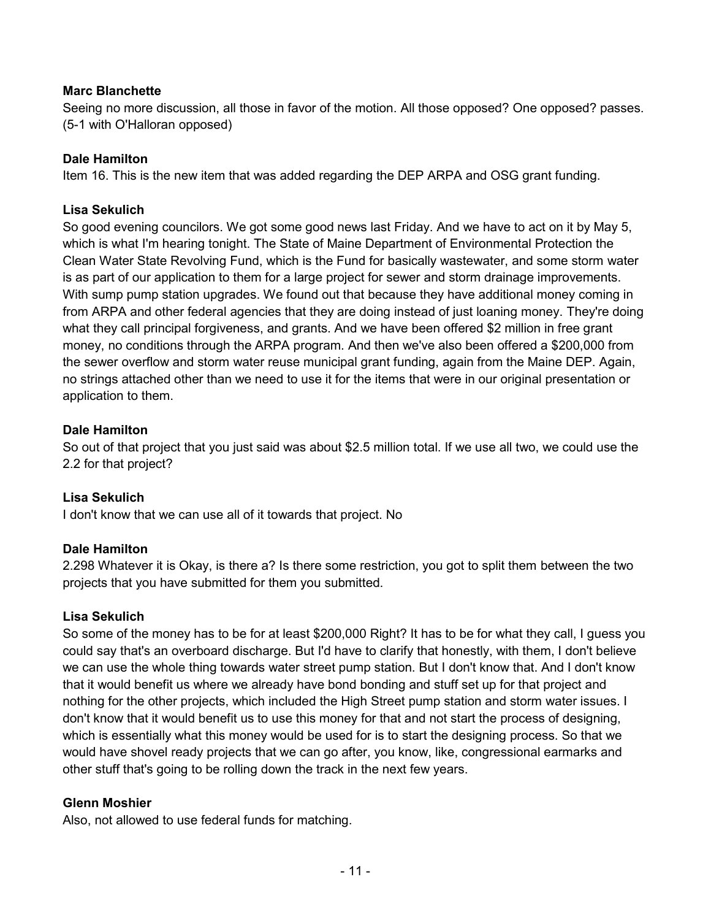## **Marc Blanchette**

Seeing no more discussion, all those in favor of the motion. All those opposed? One opposed? passes. (5-1 with O'Halloran opposed)

## **Dale Hamilton**

Item 16. This is the new item that was added regarding the DEP ARPA and OSG grant funding.

## **Lisa Sekulich**

So good evening councilors. We got some good news last Friday. And we have to act on it by May 5, which is what I'm hearing tonight. The State of Maine Department of Environmental Protection the Clean Water State Revolving Fund, which is the Fund for basically wastewater, and some storm water is as part of our application to them for a large project for sewer and storm drainage improvements. With sump pump station upgrades. We found out that because they have additional money coming in from ARPA and other federal agencies that they are doing instead of just loaning money. They're doing what they call principal forgiveness, and grants. And we have been offered \$2 million in free grant money, no conditions through the ARPA program. And then we've also been offered a \$200,000 from the sewer overflow and storm water reuse municipal grant funding, again from the Maine DEP. Again, no strings attached other than we need to use it for the items that were in our original presentation or application to them.

## **Dale Hamilton**

So out of that project that you just said was about \$2.5 million total. If we use all two, we could use the 2.2 for that project?

## **Lisa Sekulich**

I don't know that we can use all of it towards that project. No

#### **Dale Hamilton**

2.298 Whatever it is Okay, is there a? Is there some restriction, you got to split them between the two projects that you have submitted for them you submitted.

#### **Lisa Sekulich**

So some of the money has to be for at least \$200,000 Right? It has to be for what they call, I guess you could say that's an overboard discharge. But I'd have to clarify that honestly, with them, I don't believe we can use the whole thing towards water street pump station. But I don't know that. And I don't know that it would benefit us where we already have bond bonding and stuff set up for that project and nothing for the other projects, which included the High Street pump station and storm water issues. I don't know that it would benefit us to use this money for that and not start the process of designing, which is essentially what this money would be used for is to start the designing process. So that we would have shovel ready projects that we can go after, you know, like, congressional earmarks and other stuff that's going to be rolling down the track in the next few years.

#### **Glenn Moshier**

Also, not allowed to use federal funds for matching.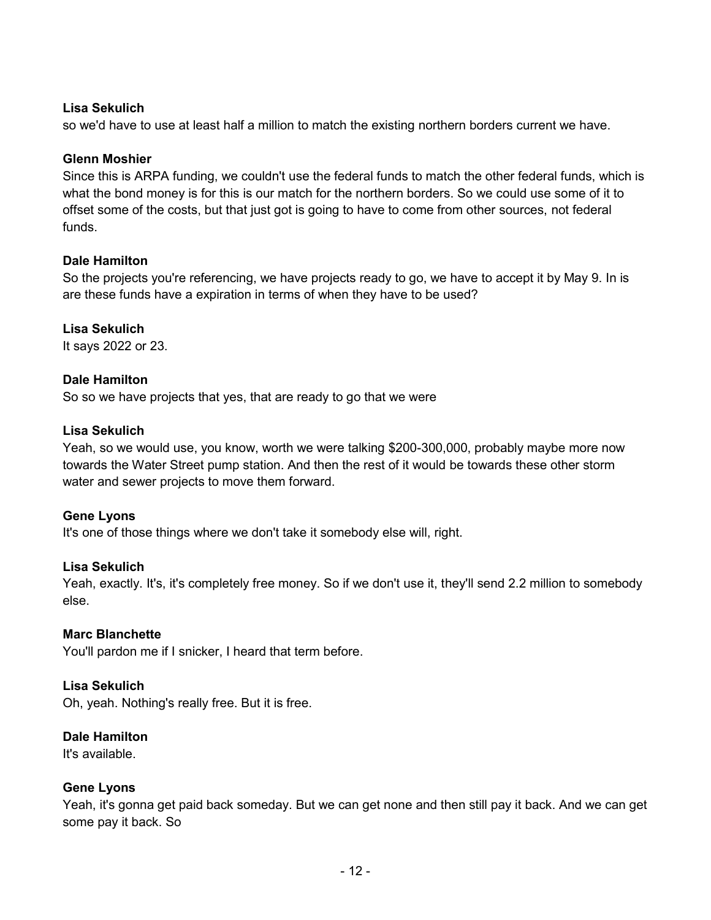## **Lisa Sekulich**

so we'd have to use at least half a million to match the existing northern borders current we have.

#### **Glenn Moshier**

Since this is ARPA funding, we couldn't use the federal funds to match the other federal funds, which is what the bond money is for this is our match for the northern borders. So we could use some of it to offset some of the costs, but that just got is going to have to come from other sources, not federal funds.

#### **Dale Hamilton**

So the projects you're referencing, we have projects ready to go, we have to accept it by May 9. In is are these funds have a expiration in terms of when they have to be used?

#### **Lisa Sekulich**

It says 2022 or 23.

#### **Dale Hamilton**

So so we have projects that yes, that are ready to go that we were

#### **Lisa Sekulich**

Yeah, so we would use, you know, worth we were talking \$200-300,000, probably maybe more now towards the Water Street pump station. And then the rest of it would be towards these other storm water and sewer projects to move them forward.

#### **Gene Lyons**

It's one of those things where we don't take it somebody else will, right.

#### **Lisa Sekulich**

Yeah, exactly. It's, it's completely free money. So if we don't use it, they'll send 2.2 million to somebody else.

#### **Marc Blanchette**

You'll pardon me if I snicker, I heard that term before.

#### **Lisa Sekulich**

Oh, yeah. Nothing's really free. But it is free.

#### **Dale Hamilton**

It's available.

#### **Gene Lyons**

Yeah, it's gonna get paid back someday. But we can get none and then still pay it back. And we can get some pay it back. So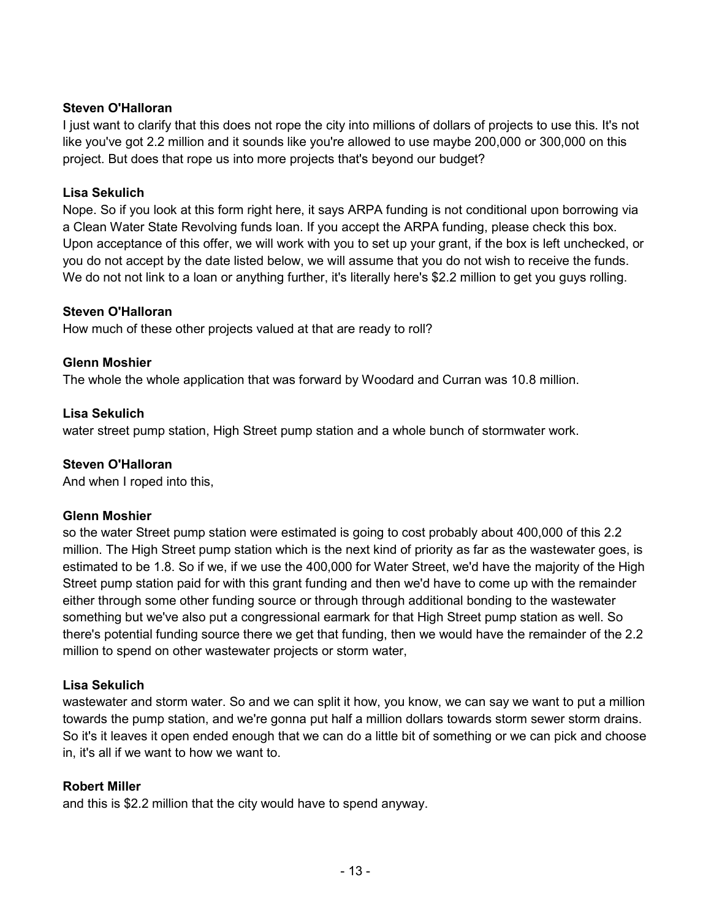## **Steven O'Halloran**

I just want to clarify that this does not rope the city into millions of dollars of projects to use this. It's not like you've got 2.2 million and it sounds like you're allowed to use maybe 200,000 or 300,000 on this project. But does that rope us into more projects that's beyond our budget?

## **Lisa Sekulich**

Nope. So if you look at this form right here, it says ARPA funding is not conditional upon borrowing via a Clean Water State Revolving funds loan. If you accept the ARPA funding, please check this box. Upon acceptance of this offer, we will work with you to set up your grant, if the box is left unchecked, or you do not accept by the date listed below, we will assume that you do not wish to receive the funds. We do not not link to a loan or anything further, it's literally here's \$2.2 million to get you guys rolling.

## **Steven O'Halloran**

How much of these other projects valued at that are ready to roll?

## **Glenn Moshier**

The whole the whole application that was forward by Woodard and Curran was 10.8 million.

## **Lisa Sekulich**

water street pump station, High Street pump station and a whole bunch of stormwater work.

#### **Steven O'Halloran**

And when I roped into this,

#### **Glenn Moshier**

so the water Street pump station were estimated is going to cost probably about 400,000 of this 2.2 million. The High Street pump station which is the next kind of priority as far as the wastewater goes, is estimated to be 1.8. So if we, if we use the 400,000 for Water Street, we'd have the majority of the High Street pump station paid for with this grant funding and then we'd have to come up with the remainder either through some other funding source or through through additional bonding to the wastewater something but we've also put a congressional earmark for that High Street pump station as well. So there's potential funding source there we get that funding, then we would have the remainder of the 2.2 million to spend on other wastewater projects or storm water,

## **Lisa Sekulich**

wastewater and storm water. So and we can split it how, you know, we can say we want to put a million towards the pump station, and we're gonna put half a million dollars towards storm sewer storm drains. So it's it leaves it open ended enough that we can do a little bit of something or we can pick and choose in, it's all if we want to how we want to.

## **Robert Miller**

and this is \$2.2 million that the city would have to spend anyway.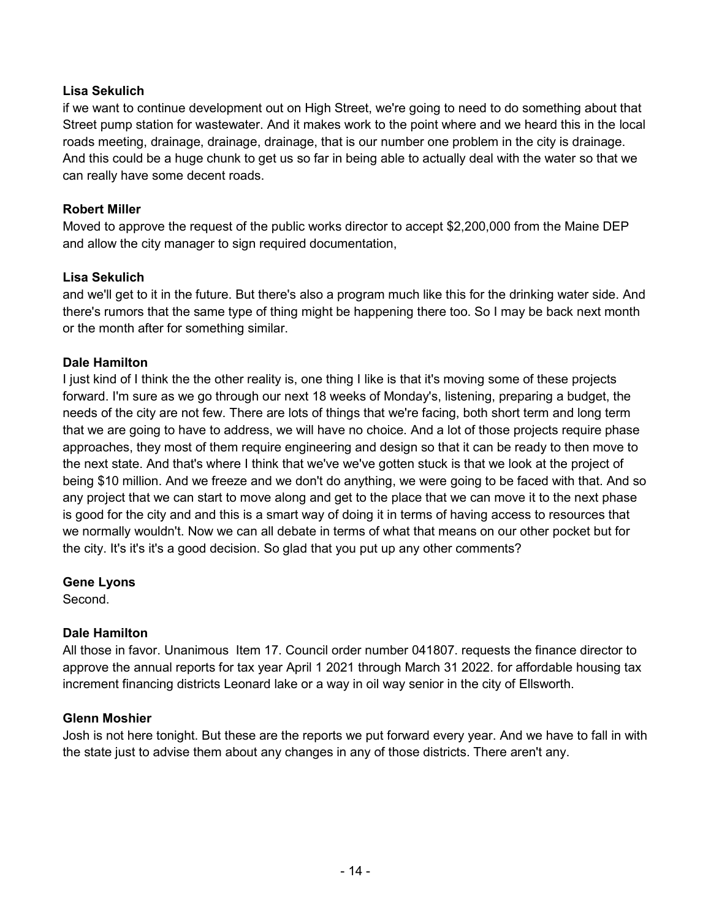## **Lisa Sekulich**

if we want to continue development out on High Street, we're going to need to do something about that Street pump station for wastewater. And it makes work to the point where and we heard this in the local roads meeting, drainage, drainage, drainage, that is our number one problem in the city is drainage. And this could be a huge chunk to get us so far in being able to actually deal with the water so that we can really have some decent roads.

## **Robert Miller**

Moved to approve the request of the public works director to accept \$2,200,000 from the Maine DEP and allow the city manager to sign required documentation,

## **Lisa Sekulich**

and we'll get to it in the future. But there's also a program much like this for the drinking water side. And there's rumors that the same type of thing might be happening there too. So I may be back next month or the month after for something similar.

## **Dale Hamilton**

I just kind of I think the the other reality is, one thing I like is that it's moving some of these projects forward. I'm sure as we go through our next 18 weeks of Monday's, listening, preparing a budget, the needs of the city are not few. There are lots of things that we're facing, both short term and long term that we are going to have to address, we will have no choice. And a lot of those projects require phase approaches, they most of them require engineering and design so that it can be ready to then move to the next state. And that's where I think that we've we've gotten stuck is that we look at the project of being \$10 million. And we freeze and we don't do anything, we were going to be faced with that. And so any project that we can start to move along and get to the place that we can move it to the next phase is good for the city and and this is a smart way of doing it in terms of having access to resources that we normally wouldn't. Now we can all debate in terms of what that means on our other pocket but for the city. It's it's it's a good decision. So glad that you put up any other comments?

#### **Gene Lyons**

Second.

## **Dale Hamilton**

All those in favor. Unanimous Item 17. Council order number 041807. requests the finance director to approve the annual reports for tax year April 1 2021 through March 31 2022. for affordable housing tax increment financing districts Leonard lake or a way in oil way senior in the city of Ellsworth.

## **Glenn Moshier**

Josh is not here tonight. But these are the reports we put forward every year. And we have to fall in with the state just to advise them about any changes in any of those districts. There aren't any.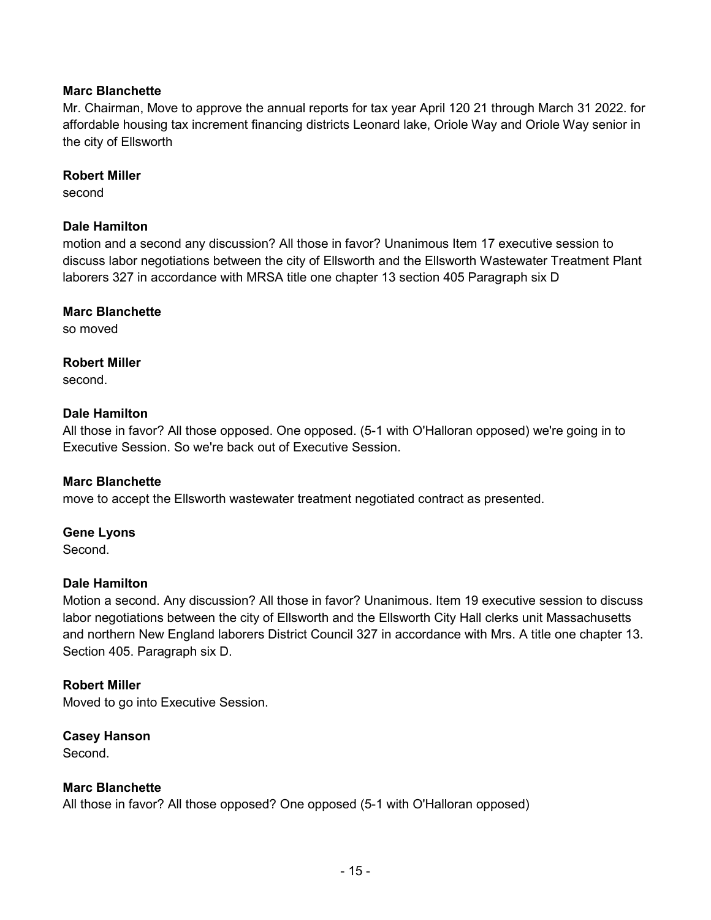## **Marc Blanchette**

Mr. Chairman, Move to approve the annual reports for tax year April 120 21 through March 31 2022. for affordable housing tax increment financing districts Leonard lake, Oriole Way and Oriole Way senior in the city of Ellsworth

#### **Robert Miller**

second

## **Dale Hamilton**

motion and a second any discussion? All those in favor? Unanimous Item 17 executive session to discuss labor negotiations between the city of Ellsworth and the Ellsworth Wastewater Treatment Plant laborers 327 in accordance with MRSA title one chapter 13 section 405 Paragraph six D

#### **Marc Blanchette**

so moved

#### **Robert Miller**

second.

#### **Dale Hamilton**

All those in favor? All those opposed. One opposed. (5-1 with O'Halloran opposed) we're going in to Executive Session. So we're back out of Executive Session.

#### **Marc Blanchette**

move to accept the Ellsworth wastewater treatment negotiated contract as presented.

#### **Gene Lyons**

Second.

#### **Dale Hamilton**

Motion a second. Any discussion? All those in favor? Unanimous. Item 19 executive session to discuss labor negotiations between the city of Ellsworth and the Ellsworth City Hall clerks unit Massachusetts and northern New England laborers District Council 327 in accordance with Mrs. A title one chapter 13. Section 405. Paragraph six D.

#### **Robert Miller**

Moved to go into Executive Session.

#### **Casey Hanson**

Second.

## **Marc Blanchette**

All those in favor? All those opposed? One opposed (5-1 with O'Halloran opposed)